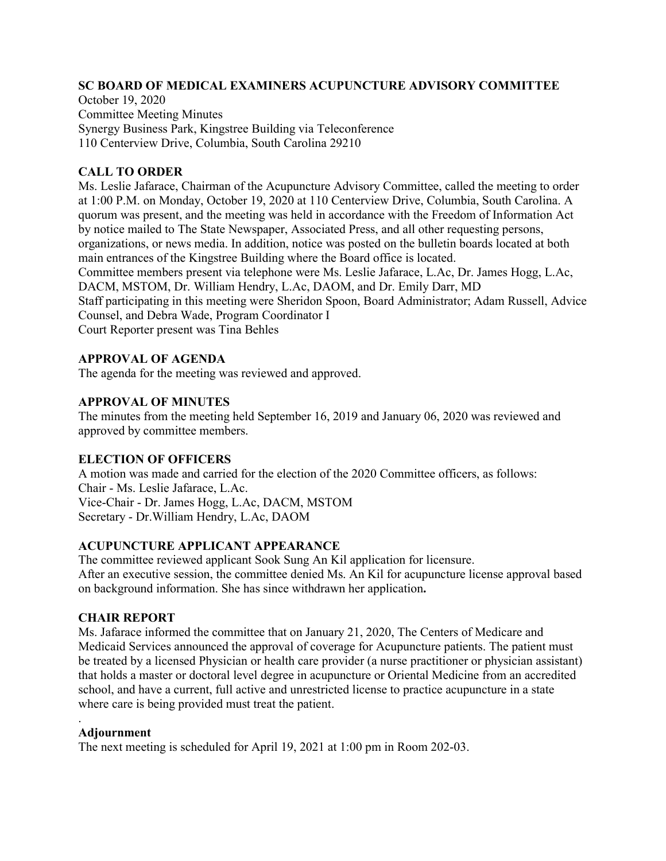#### **SC BOARD OF MEDICAL EXAMINERS ACUPUNCTURE ADVISORY COMMITTEE**

October 19, 2020 Committee Meeting Minutes Synergy Business Park, Kingstree Building via Teleconference 110 Centerview Drive, Columbia, South Carolina 29210

## **CALL TO ORDER**

Ms. Leslie Jafarace, Chairman of the Acupuncture Advisory Committee, called the meeting to order at 1:00 P.M. on Monday, October 19, 2020 at 110 Centerview Drive, Columbia, South Carolina. A quorum was present, and the meeting was held in accordance with the Freedom of Information Act by notice mailed to The State Newspaper, Associated Press, and all other requesting persons, organizations, or news media. In addition, notice was posted on the bulletin boards located at both main entrances of the Kingstree Building where the Board office is located. Committee members present via telephone were Ms. Leslie Jafarace, L.Ac, Dr. James Hogg, L.Ac, DACM, MSTOM, Dr. William Hendry, L.Ac, DAOM, and Dr. Emily Darr, MD Staff participating in this meeting were Sheridon Spoon, Board Administrator; Adam Russell, Advice Counsel, and Debra Wade, Program Coordinator I Court Reporter present was Tina Behles

# **APPROVAL OF AGENDA**

The agenda for the meeting was reviewed and approved.

### **APPROVAL OF MINUTES**

The minutes from the meeting held September 16, 2019 and January 06, 2020 was reviewed and approved by committee members.

### **ELECTION OF OFFICERS**

A motion was made and carried for the election of the 2020 Committee officers, as follows: Chair - Ms. Leslie Jafarace, L.Ac. Vice-Chair - Dr. James Hogg, L.Ac, DACM, MSTOM Secretary - Dr.William Hendry, L.Ac, DAOM

### **ACUPUNCTURE APPLICANT APPEARANCE**

The committee reviewed applicant Sook Sung An Kil application for licensure. After an executive session, the committee denied Ms. An Kil for acupuncture license approval based on background information. She has since withdrawn her application**.**

#### **CHAIR REPORT**

Ms. Jafarace informed the committee that on January 21, 2020, The Centers of Medicare and Medicaid Services announced the approval of coverage for Acupuncture patients. The patient must be treated by a licensed Physician or health care provider (a nurse practitioner or physician assistant) that holds a master or doctoral level degree in acupuncture or Oriental Medicine from an accredited school, and have a current, full active and unrestricted license to practice acupuncture in a state where care is being provided must treat the patient.

### **Adjournment**

.

The next meeting is scheduled for April 19, 2021 at 1:00 pm in Room 202-03.